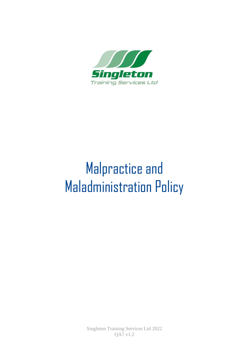

# Malpractice and Maladministration Policy

Singleton Training Services Ltd 2022 QA7 v1.2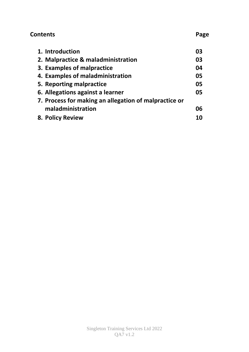# **Contents** Page

| 1. Introduction                                       | 03 |
|-------------------------------------------------------|----|
| 2. Malpractice & maladministration                    | 03 |
| 3. Examples of malpractice                            | 04 |
| 4. Examples of maladministration                      | 05 |
| 5. Reporting malpractice                              | 05 |
| 6. Allegations against a learner                      | 05 |
| 7. Process for making an allegation of malpractice or |    |
| maladministration                                     | 06 |
| 8. Policy Review                                      | 10 |
|                                                       |    |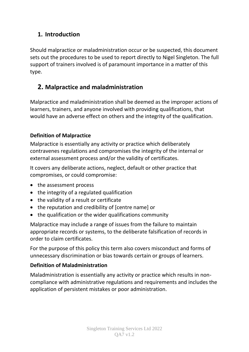## **1. Introduction**

Should malpractice or maladministration occur or be suspected, this document sets out the procedures to be used to report directly to Nigel Singleton. The full support of trainers involved is of paramount importance in a matter of this type.

# **2. Malpractice and maladministration**

Malpractice and maladministration shall be deemed as the improper actions of learners, trainers, and anyone involved with providing qualifications, that would have an adverse effect on others and the integrity of the qualification.

#### **Definition of Malpractice**

Malpractice is essentially any activity or practice which deliberately contravenes regulations and compromises the integrity of the internal or external assessment process and/or the validity of certificates.

It covers any deliberate actions, neglect, default or other practice that compromises, or could compromise:

- the assessment process
- the integrity of a regulated qualification
- the validity of a result or certificate
- the reputation and credibility of [centre name] or
- the qualification or the wider qualifications community

Malpractice may include a range of issues from the failure to maintain appropriate records or systems, to the deliberate falsification of records in order to claim certificates.

For the purpose of this policy this term also covers misconduct and forms of unnecessary discrimination or bias towards certain or groups of learners.

#### **Definition of Maladministration**

Maladministration is essentially any activity or practice which results in noncompliance with administrative regulations and requirements and includes the application of persistent mistakes or poor administration.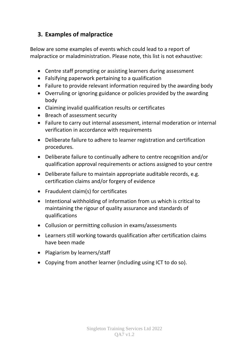## **3. Examples of malpractice**

Below are some examples of events which could lead to a report of malpractice or maladministration. Please note, this list is not exhaustive:

- Centre staff prompting or assisting learners during assessment
- Falsifying paperwork pertaining to a qualification
- Failure to provide relevant information required by the awarding body
- Overruling or ignoring guidance or policies provided by the awarding body
- Claiming invalid qualification results or certificates
- Breach of assessment security
- Failure to carry out internal assessment, internal moderation or internal verification in accordance with requirements
- Deliberate failure to adhere to learner registration and certification procedures.
- Deliberate failure to continually adhere to centre recognition and/or qualification approval requirements or actions assigned to your centre
- Deliberate failure to maintain appropriate auditable records, e.g. certification claims and/or forgery of evidence
- Fraudulent claim(s) for certificates
- Intentional withholding of information from us which is critical to maintaining the rigour of quality assurance and standards of qualifications
- Collusion or permitting collusion in exams/assessments
- Learners still working towards qualification after certification claims have been made
- Plagiarism by learners/staff
- Copying from another learner (including using ICT to do so).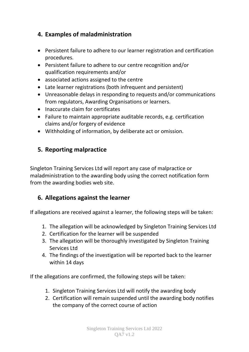## **4. Examples of maladministration**

- Persistent failure to adhere to our learner registration and certification procedures.
- Persistent failure to adhere to our centre recognition and/or qualification requirements and/or
- associated actions assigned to the centre
- Late learner registrations (both infrequent and persistent)
- Unreasonable delays in responding to requests and/or communications from regulators, Awarding Organisations or learners.
- Inaccurate claim for certificates
- Failure to maintain appropriate auditable records, e.g. certification claims and/or forgery of evidence
- Withholding of information, by deliberate act or omission.

## **5. Reporting malpractice**

Singleton Training Services Ltd will report any case of malpractice or maladministration to the awarding body using the correct notification form from the awarding bodies web site.

## **6. Allegations against the learner**

If allegations are received against a learner, the following steps will be taken:

- 1. The allegation will be acknowledged by Singleton Training Services Ltd
- 2. Certification for the learner will be suspended
- 3. The allegation will be thoroughly investigated by Singleton Training Services Ltd
- 4. The findings of the investigation will be reported back to the learner within 14 days

If the allegations are confirmed, the following steps will be taken:

- 1. Singleton Training Services Ltd will notify the awarding body
- 2. Certification will remain suspended until the awarding body notifies the company of the correct course of action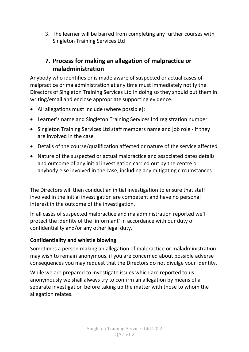3. The learner will be barred from completing any further courses with Singleton Training Services Ltd

## **7. Process for making an allegation of malpractice or maladministration**

Anybody who identifies or is made aware of suspected or actual cases of malpractice or maladministration at any time must immediately notify the Directors of Singleton Training Services Ltd In doing so they should put them in writing/email and enclose appropriate supporting evidence.

- All allegations must include (where possible):
- Learner's name and Singleton Training Services Ltd registration number
- Singleton Training Services Ltd staff members name and job role if they are involved in the case
- Details of the course/qualification affected or nature of the service affected
- Nature of the suspected or actual malpractice and associated dates details and outcome of any initial investigation carried out by the centre or anybody else involved in the case, including any mitigating circumstances

The Directors will then conduct an initial investigation to ensure that staff involved in the initial investigation are competent and have no personal interest in the outcome of the investigation.

In all cases of suspected malpractice and maladministration reported we'll protect the identity of the 'informant' in accordance with our duty of confidentiality and/or any other legal duty.

#### **Confidentiality and whistle blowing**

Sometimes a person making an allegation of malpractice or maladministration may wish to remain anonymous. if you are concerned about possible adverse consequences you may request that the Directors do not divulge your identity.

While we are prepared to investigate issues which are reported to us anonymously we shall always try to confirm an allegation by means of a separate investigation before taking up the matter with those to whom the allegation relates.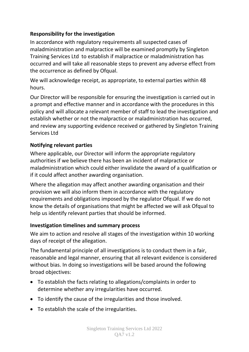#### **Responsibility for the investigation**

In accordance with regulatory requirements all suspected cases of maladministration and malpractice will be examined promptly by Singleton Training Services Ltd to establish if malpractice or maladministration has occurred and will take all reasonable steps to prevent any adverse effect from the occurrence as defined by Ofqual.

We will acknowledge receipt, as appropriate, to external parties within 48 hours.

Our Director will be responsible for ensuring the investigation is carried out in a prompt and effective manner and in accordance with the procedures in this policy and will allocate a relevant member of staff to lead the investigation and establish whether or not the malpractice or maladministration has occurred, and review any supporting evidence received or gathered by Singleton Training Services Ltd

#### **Notifying relevant parties**

Where applicable, our Director will inform the appropriate regulatory authorities if we believe there has been an incident of malpractice or maladministration which could either invalidate the award of a qualification or if it could affect another awarding organisation.

Where the allegation may affect another awarding organisation and their provision we will also inform them in accordance with the regulatory requirements and obligations imposed by the regulator Ofqual. If we do not know the details of organisations that might be affected we will ask Ofqual to help us identify relevant parties that should be informed.

#### **Investigation timelines and summary process**

We aim to action and resolve all stages of the investigation within 10 working days of receipt of the allegation.

The fundamental principle of all investigations is to conduct them in a fair, reasonable and legal manner, ensuring that all relevant evidence is considered without bias. In doing so investigations will be based around the following broad objectives:

- To establish the facts relating to allegations/complaints in order to determine whether any irregularities have occurred.
- To identify the cause of the irregularities and those involved.
- To establish the scale of the irregularities.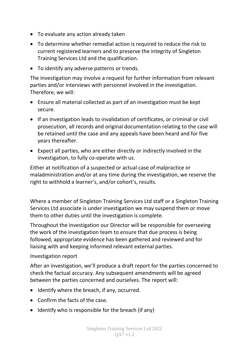- To evaluate any action already taken
- To determine whether remedial action is required to reduce the risk to current registered learners and to preserve the integrity of Singleton Training Services Ltd and the qualification.
- To identify any adverse patterns or trends.

The investigation may involve a request for further information from relevant parties and/or interviews with personnel involved in the investigation. Therefore, we will:

- Ensure all material collected as part of an investigation must be kept secure.
- If an investigation leads to invalidation of certificates, or criminal or civil prosecution, all records and original documentation relating to the case will be retained until the case and any appeals have been heard and for five years thereafter.
- Expect all parties, who are either directly or indirectly involved in the investigation, to fully co-operate with us.

Either at notification of a suspected or actual case of malpractice or maladministration and/or at any time during the investigation, we reserve the right to withhold a learner's, and/or cohort's, results.

Where a member of Singleton Training Services Ltd staff or a Singleton Training Services Ltd associate is under investigation we may suspend them or move them to other duties until the investigation is complete.

Throughout the investigation our Director will be responsible for overseeing the work of the investigation team to ensure that due process is being followed, appropriate evidence has been gathered and reviewed and for liaising with and keeping informed relevant external parties.

Investigation report

After an investigation, we'll produce a draft report for the parties concerned to check the factual accuracy. Any subsequent amendments will be agreed between the parties concerned and ourselves. The report will:

- Identify where the breach, if any, occurred.
- Confirm the facts of the case.
- Identify who is responsible for the breach (if any)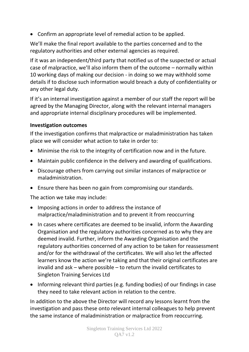• Confirm an appropriate level of remedial action to be applied.

We'll make the final report available to the parties concerned and to the regulatory authorities and other external agencies as required.

If it was an independent/third party that notified us of the suspected or actual case of malpractice, we'll also inform them of the outcome – normally within 10 working days of making our decision - in doing so we may withhold some details if to disclose such information would breach a duty of confidentiality or any other legal duty.

If it's an internal investigation against a member of our staff the report will be agreed by the Managing Director, along with the relevant internal managers and appropriate internal disciplinary procedures will be implemented.

#### **Investigation outcomes**

If the investigation confirms that malpractice or maladministration has taken place we will consider what action to take in order to:

- Minimise the risk to the integrity of certification now and in the future.
- Maintain public confidence in the delivery and awarding of qualifications.
- Discourage others from carrying out similar instances of malpractice or maladministration.
- Ensure there has been no gain from compromising our standards.

The action we take may include:

- Imposing actions in order to address the instance of malpractice/maladministration and to prevent it from reoccurring
- In cases where certificates are deemed to be invalid, inform the Awarding Organisation and the regulatory authorities concerned as to why they are deemed invalid. Further, inform the Awarding Organisation and the regulatory authorities concerned of any action to be taken for reassessment and/or for the withdrawal of the certificates. We will also let the affected learners know the action we're taking and that their original certificates are invalid and ask – where possible – to return the invalid certificates to Singleton Training Services Ltd
- Informing relevant third parties (e.g. funding bodies) of our findings in case they need to take relevant action in relation to the centre.

In addition to the above the Director will record any lessons learnt from the investigation and pass these onto relevant internal colleagues to help prevent the same instance of maladministration or malpractice from reoccurring.